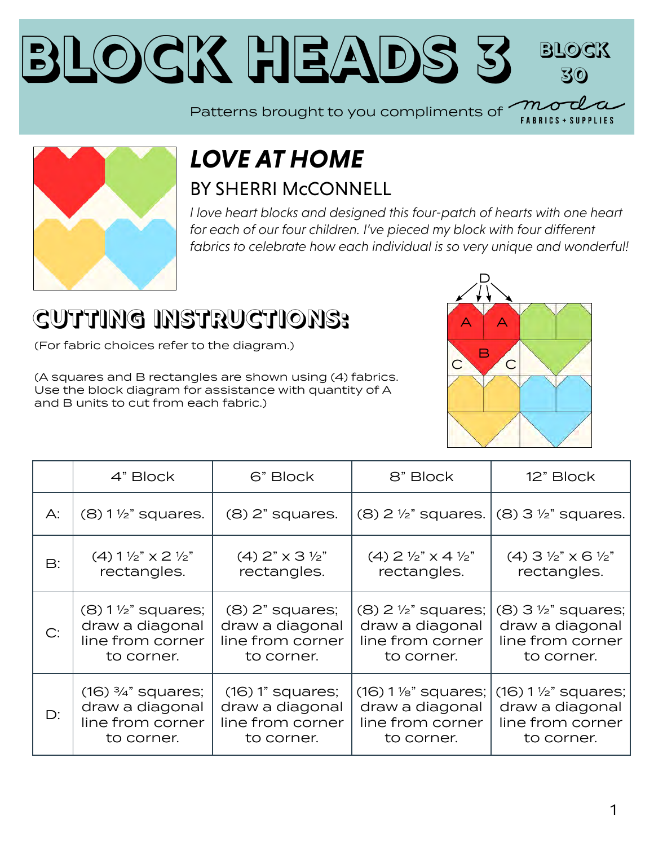### BLOCK HEADS [3](https://modafabrics.com) **Block 30**

Patterns brought to you compliments of



#### *LOVE AT HOME* BY SHERRI McCONNELL

*I love heart blocks and designed this four-patch of hearts with one heart*  for each of our four children. I've pieced my block with four different *fabrics to celebrate how each individual is so very unique and wonderful!*

# **CUTTING INSTRUCTIONS:**

(For fabric choices refer to the diagram.)

(A squares and B rectangles are shown using (4) fabrics. Use the block diagram for assistance with quantity of A and B units to cut from each fabric.)



**FABRICS + SUPPLIES** 

|    | 4" Block                                           | 6" Block                            | 8" Block                                    | 12" Block                                          |
|----|----------------------------------------------------|-------------------------------------|---------------------------------------------|----------------------------------------------------|
| А: | $(8)$ 1 $\frac{1}{2}$ " squares.                   | $(8)$ $2"$ squares.                 |                                             | $(8)$ 2 1/2" squares. $ (8)$ 3 1/2" squares.       |
| B: | $(4)$ 1 $\frac{1}{2}$ " $\times$ 2 $\frac{1}{2}$ " | $(4)$ 2" $\times$ 3 $\frac{1}{2}$ " | $(4)$ 2 $\frac{1}{2}$ " x 4 $\frac{1}{2}$ " | $(4)$ 3 $\frac{1}{2}$ " $\times$ 6 $\frac{1}{2}$ " |
|    | rectangles.                                        | rectangles.                         | rectangles.                                 | rectangles.                                        |
| C: | $(8)$ 1 $\frac{1}{2}$ " squares;                   | $(8)$ 2" squares;                   | $(8)$ 2 $\frac{1}{2}$ " squares;            | $(8)$ 3 $\frac{1}{2}$ " squares;                   |
|    | draw a diagonal                                    | draw a diagonal                     | draw a diagonal                             | draw a diagonal                                    |
|    | line from corner                                   | line from corner                    | line from corner                            | line from corner                                   |
|    | to corner.                                         | to corner.                          | to corner.                                  | to corner.                                         |
| D: | $(16)$ $\frac{3}{4}$ " squares;                    | $(16)$ 1" squares;                  | $(16) 1$ %" squares;                        | $(16) 1 \frac{1}{2}$ squares;                      |
|    | draw a diagonal                                    | draw a diagonal                     | draw a diagonal                             | draw a diagonal                                    |
|    | line from corner                                   | line from corner                    | line from corner                            | line from corner                                   |
|    | to corner.                                         | to corner.                          | to corner.                                  | to corner.                                         |